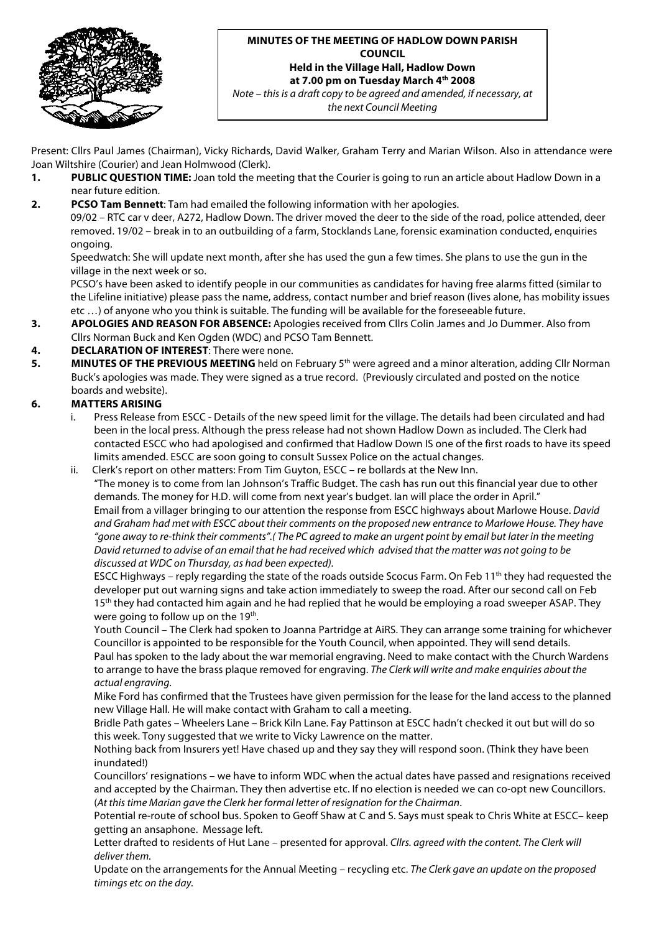

#### **MINUTES OF THE MEETING OF HADLOW DOWN PARISH COUNCIL Held in the Village Hall, Hadlow Down at 7.00 pm on Tuesday March 4th 2008**

*Note – this is a draft copy to be agreed and amended, if necessary, at the next Council Meeting*

Present: Cllrs Paul James (Chairman), Vicky Richards, David Walker, Graham Terry and Marian Wilson. Also in attendance were Joan Wiltshire (Courier) and Jean Holmwood (Clerk).

- **1. PUBLIC QUESTION TIME:** Joan told the meeting that the Courier is going to run an article about Hadlow Down in a near future edition.
- **2. PCSO Tam Bennett**: Tam had emailed the following information with her apologies.

09/02 – RTC car v deer, A272, Hadlow Down. The driver moved the deer to the side of the road, police attended, deer removed. 19/02 – break in to an outbuilding of a farm, Stocklands Lane, forensic examination conducted, enquiries ongoing.

Speedwatch: She will update next month, after she has used the gun a few times. She plans to use the gun in the village in the next week or so.

PCSO's have been asked to identify people in our communities as candidates for having free alarms fitted (similar to the Lifeline initiative) please pass the name, address, contact number and brief reason (lives alone, has mobility issues etc …) of anyone who you think is suitable. The funding will be available for the foreseeable future.

**3. APOLOGIES AND REASON FOR ABSENCE:** Apologies received from Cllrs Colin James and Jo Dummer. Also from Cllrs Norman Buck and Ken Ogden (WDC) and PCSO Tam Bennett.

### **4. DECLARATION OF INTEREST**: There were none.

**5. MINUTES OF THE PREVIOUS MEETING** held on February 5th were agreed and a minor alteration, adding Cllr Norman Buck's apologies was made. They were signed as a true record. (Previously circulated and posted on the notice boards and website).

### **6. MATTERS ARISING**

- i. Press Release from ESCC Details of the new speed limit for the village. The details had been circulated and had been in the local press. Although the press release had not shown Hadlow Down as included. The Clerk had contacted ESCC who had apologised and confirmed that Hadlow Down IS one of the first roads to have its speed limits amended. ESCC are soon going to consult Sussex Police on the actual changes.
- ii. Clerk's report on other matters: From Tim Guyton, ESCC re bollards at the New Inn. "The money is to come from Ian Johnson's Traffic Budget. The cash has run out this financial year due to other demands. The money for H.D. will come from next year's budget. Ian will place the order in April." Email from a villager bringing to our attention the response from ESCC highways about Marlowe House. *David and Graham had met with ESCC about their comments on the proposed new entrance to Marlowe House. They have "gone away to re-think their comments".( The PC agreed to make an urgent point by email but later in the meeting David returned to advise of an email that he had received which advised that the matter was not going to be discussed at WDC on Thursday, as had been expected).*

ESCC Highways – reply regarding the state of the roads outside Scocus Farm. On Feb 11<sup>th</sup> they had requested the developer put out warning signs and take action immediately to sweep the road. After our second call on Feb 15<sup>th</sup> they had contacted him again and he had replied that he would be employing a road sweeper ASAP. They were going to follow up on the  $19<sup>th</sup>$ .

Youth Council – The Clerk had spoken to Joanna Partridge at AiRS. They can arrange some training for whichever Councillor is appointed to be responsible for the Youth Council, when appointed. They will send details. Paul has spoken to the lady about the war memorial engraving. Need to make contact with the Church Wardens to arrange to have the brass plaque removed for engraving. *The Clerk will write and make enquiries about the actual engraving.*

Mike Ford has confirmed that the Trustees have given permission for the lease for the land access to the planned new Village Hall. He will make contact with Graham to call a meeting.

Bridle Path gates – Wheelers Lane – Brick Kiln Lane. Fay Pattinson at ESCC hadn't checked it out but will do so this week. Tony suggested that we write to Vicky Lawrence on the matter.

Nothing back from Insurers yet! Have chased up and they say they will respond soon. (Think they have been inundated!)

Councillors' resignations – we have to inform WDC when the actual dates have passed and resignations received and accepted by the Chairman. They then advertise etc. If no election is needed we can co-opt new Councillors. (*At this time Marian gave the Clerk her formal letter of resignation for the Chairman*.

Potential re-route of school bus. Spoken to Geoff Shaw at C and S. Says must speak to Chris White at ESCC– keep getting an ansaphone. Message left.

Letter drafted to residents of Hut Lane – presented for approval. *Cllrs. agreed with the content. The Clerk will deliver them.*

Update on the arrangements for the Annual Meeting – recycling etc. *The Clerk gave an update on the proposed timings etc on the day.*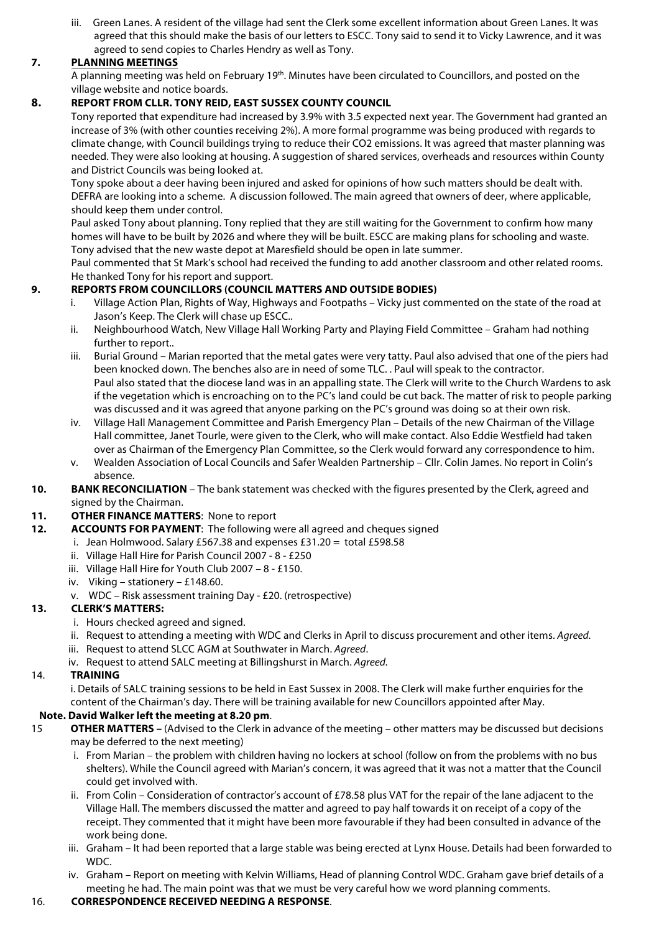iii. Green Lanes. A resident of the village had sent the Clerk some excellent information about Green Lanes. It was agreed that this should make the basis of our letters to ESCC. Tony said to send it to Vicky Lawrence, and it was agreed to send copies to Charles Hendry as well as Tony.

# **7. PLANNING MEETINGS**

A planning meeting was held on February 19<sup>th</sup>. Minutes have been circulated to Councillors, and posted on the village website and notice boards.

# **8. REPORT FROM CLLR. TONY REID, EAST SUSSEX COUNTY COUNCIL**

Tony reported that expenditure had increased by 3.9% with 3.5 expected next year. The Government had granted an increase of 3% (with other counties receiving 2%). A more formal programme was being produced with regards to climate change, with Council buildings trying to reduce their CO2 emissions. It was agreed that master planning was needed. They were also looking at housing. A suggestion of shared services, overheads and resources within County and District Councils was being looked at.

Tony spoke about a deer having been injured and asked for opinions of how such matters should be dealt with. DEFRA are looking into a scheme. A discussion followed. The main agreed that owners of deer, where applicable, should keep them under control.

Paul asked Tony about planning. Tony replied that they are still waiting for the Government to confirm how many homes will have to be built by 2026 and where they will be built. ESCC are making plans for schooling and waste. Tony advised that the new waste depot at Maresfield should be open in late summer.

Paul commented that St Mark's school had received the funding to add another classroom and other related rooms. He thanked Tony for his report and support.

# **9. REPORTS FROM COUNCILLORS (COUNCIL MATTERS AND OUTSIDE BODIES)**

- i. Village Action Plan, Rights of Way, Highways and Footpaths Vicky just commented on the state of the road at Jason's Keep. The Clerk will chase up ESCC..
- ii. Neighbourhood Watch, New Village Hall Working Party and Playing Field Committee Graham had nothing further to report..
- iii. Burial Ground Marian reported that the metal gates were very tatty. Paul also advised that one of the piers had been knocked down. The benches also are in need of some TLC. . Paul will speak to the contractor. Paul also stated that the diocese land was in an appalling state. The Clerk will write to the Church Wardens to ask if the vegetation which is encroaching on to the PC's land could be cut back. The matter of risk to people parking was discussed and it was agreed that anyone parking on the PC's ground was doing so at their own risk.
- iv. Village Hall Management Committee and Parish Emergency Plan Details of the new Chairman of the Village Hall committee, Janet Tourle, were given to the Clerk, who will make contact. Also Eddie Westfield had taken over as Chairman of the Emergency Plan Committee, so the Clerk would forward any correspondence to him.
- v. Wealden Association of Local Councils and Safer Wealden Partnership Cllr. Colin James. No report in Colin's absence.
- **10. BANK RECONCILIATION** The bank statement was checked with the figures presented by the Clerk, agreed and signed by the Chairman.
- **11. OTHER FINANCE MATTERS**: None to report
- **12. ACCOUNTS FOR PAYMENT**: The following were all agreed and cheques signed
	- i. Jean Holmwood. Salary £567.38 and expenses £31.20 = total £598.58
	- ii. Village Hall Hire for Parish Council 2007 8 £250
	- iii. Village Hall Hire for Youth Club 2007 8 £150.
	- iv. Viking stationery £148.60.
	- v. WDC Risk assessment training Day £20. (retrospective)

## **13. CLERK'S MATTERS:**

- i. Hours checked agreed and signed.
- ii. Request to attending a meeting with WDC and Clerks in April to discuss procurement and other items. *Agreed.*
- iii. Request to attend SLCC AGM at Southwater in March. *Agreed*.
- iv. Request to attend SALC meeting at Billingshurst in March. *Agreed.*

### 14. **TRAINING**

i. Details of SALC training sessions to be held in East Sussex in 2008. The Clerk will make further enquiries for the content of the Chairman's day. There will be training available for new Councillors appointed after May.

## **Note. David Walker left the meeting at 8.20 pm**.

- 15 **OTHER MATTERS –** (Advised to the Clerk in advance of the meeting other matters may be discussed but decisions may be deferred to the next meeting)
	- i. From Marian the problem with children having no lockers at school (follow on from the problems with no bus shelters). While the Council agreed with Marian's concern, it was agreed that it was not a matter that the Council could get involved with.
	- ii. From Colin Consideration of contractor's account of £78.58 plus VAT for the repair of the lane adjacent to the Village Hall. The members discussed the matter and agreed to pay half towards it on receipt of a copy of the receipt. They commented that it might have been more favourable if they had been consulted in advance of the work being done.
	- iii. Graham It had been reported that a large stable was being erected at Lynx House. Details had been forwarded to WDC.
	- iv. Graham Report on meeting with Kelvin Williams, Head of planning Control WDC. Graham gave brief details of a meeting he had. The main point was that we must be very careful how we word planning comments.

### 16. **CORRESPONDENCE RECEIVED NEEDING A RESPONSE**.